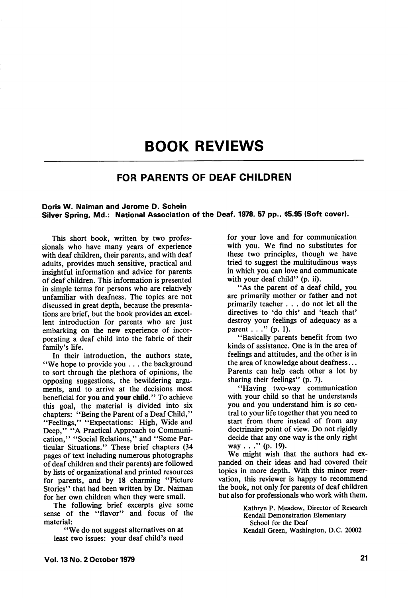# BOOK REVIEWS

### FOR PARENTS OF DEAF CHILDREN

#### Doris W. Naiman and Jerome D. Schein Silver Spring, Md.: National Association of the Deaf, 1978. 57 pp., \$5.95 (Soft cover).

This short book, written by two profes sionals who have many years of experience with deaf children, their parents, and with deaf adults, provides much sensitive, practical and insightful information and advice for parents of deaf children. This information is presented in simple terms for persons who are relatively unfamiliar with deafness. The topics are not discussed in great depth, because the presenta tions are brief, but the book provides an excel lent introduction for parents who are just embarking on the new experience of incor porating a deaf child into the fabric of their family's life.

In their introduction, the authors state, "We hope to provide you ... the background to sort through the plethora of opinions, the opposing suggestions, the bewildering argu ments, and to arrive at the decisions most beneficial for you and your child." To achieve this goal, the material is divided into six chapters: "Being the Parent of a Deaf Child," "Feelings," "Expectations: High, Wide and Deep," "A Practical Approach to Communication," "Social Relations," and "Some Par ticular Situations." These brief chapters (34 pages of text including numerous photographs of deaf children and their parents) are followed by lists of organizational and printed resources for parents, and by 18 charming "Picture Stories" that had been written by Dr. Naiman for her own children when they were small.

The following brief excerpts give some sense of the "flavor" and focus of the material:

"We do not suggest alternatives on at least two issues: your deaf child's need

for your love and for communication with you. We find no substitutes for these two principles, though we have tried to suggest the multitudinous ways in which you can love and communicate with your deaf child" (p. ii).

"As the parent of a deaf child, you are primarily mother or father and not primarily teacher ... do not let all the directives to 'do this' and 'teach that' destroy your feelings of adequacy as a parent . . . " (p. 1).

"Basically parents benefit from two kinds of assistance. One is in the area of feelings and attitudes, and the other is in the area of knowledge about deafness... Parents can help each other a lot by sharing their feelings" (p. 7).

"Having two-way communication with your child so that he understands you and you understand him is so cen tral to your life together that you need to start from there instead of from any doctrinaire point of view. Do not rigidly decide that any one way is the only right way . . ." (p. 19).

We might wish that the authors had ex panded on their ideas and had covered their topics in more depth. With this minor reser vation, this reviewer is happy to recommend the book, not only for parents of deaf children but also for professionals who work with them.

> Kathryn P. Meadow, Director of Research Kendall Demonstration Elementary School for the Deaf Kendall Green, Washington, D.C. 20002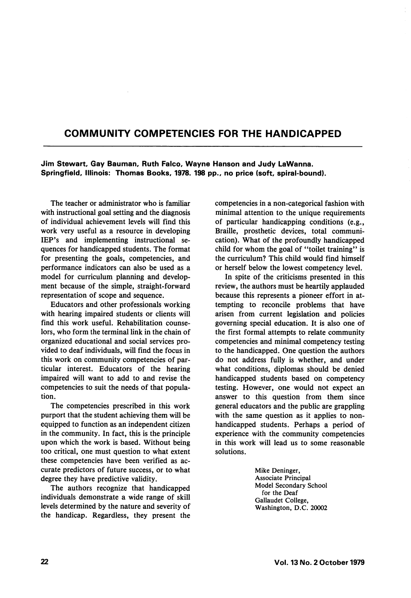# COMMUNITY COMPETENCIES FOR THE HANDICAPPED

Jim Stewart, Gay Bauman, Ruth Faico, Wayne Hanson and Judy LaWanna. Springfield, lilinois: Thomas Books, 1978. 198 pp., no price (soft, spirai-bound).

The teacher or administrator who is familiar with instructional goal setting and the diagnosis of individual achievement levels will find this work very useful as a resource in developing lEP's and implementing instructional se quences for handicapped students. The format for presenting the goals, competencies, and performance indicators can also be used as a model for curriculum planning and develop ment because of the simple, straight-forward representation of scope and sequence.

Educators and other professionals working with hearing impaired students or clients will find this work useful. Rehabilitation counse lors, who form the terminal link in the chain of organized educational and social services pro vided to deaf individuals, will find the focus in this work on community competencies of par ticular interest. Educators of the hearing impaired will want to add to and revise the competencies to suit the needs of that popula tion.

The competencies prescribed in this work purport that the student achieving them will be equipped to function as an independent citizen in the community. In fact, this is the principle upon which the work is based. Without being too critical, one must question to what extent these competencies have been verified as ac curate predictors of future success, or to what degree they have predictive validity.

The authors recognize that handicapped individuals demonstrate a wide range of skill levels determined by the nature and severity of the handicap. Regardless, they present the

competencies in a non-categorical fashion with minimal attention to the unique requirements of particular handicapping conditions (e.g.. Braille, prosthetic devices, total communi cation). What of the profoundly handicapped child for whom the goal of "toilet training'' is the curriculum? This child would find himself or herself below the lowest competency level.

In spite of the criticisms presented in this review, the authors must be heartily applauded because this represents a pioneer effort in at tempting to reconcile problems that have arisen from current legislation and policies governing special education. It is also one of the first formal attempts to relate community competencies and minimal competency testing to the handicapped. One question the authors do not address fully is whether, and under what conditions, diplomas should be denied handicapped students based on competency testing. However, one would not expect an answer to this question from them since general educators and the public are grappling with the same question as it applies to nonhandicapped students. Perhaps a period of experience with the community competencies in this work will lead us to some reasonable solutions.

> Mike Deninger, Associate Principal Model Secondary School for the Deaf Gallaudet College, Washington, D.C. 20002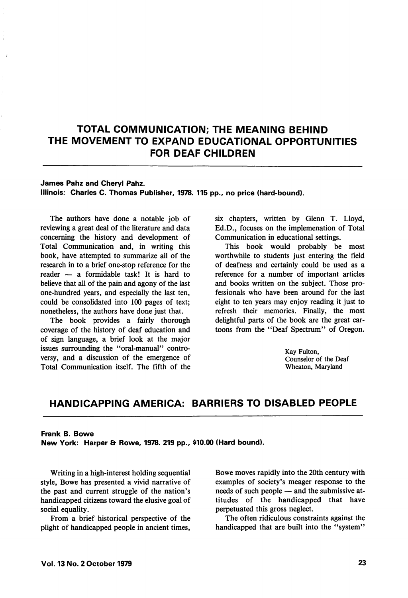# TOTAL COMMUNICATION; THE MEANING BEHIND THE MOVEMENT TO EXPAND EDUCATIONAL OPPORTUNITIES FOR DEAF CHILDREN

#### James Pahz and Cheryl Pahz.

Illinois: Charles C. Thomas Publisher, 1978. 115 pp., no price (hard-bound).

The authors have done a notable job of reviewing a great deal of the literature and data concerning the history and development of Total Communication and, in writing this book, have attempted to summarize all of the research in to a brief one-stop reference for the reader — a formidable task! It is hard to believe that all of the pain and agony of the last one-hundred years, and especially the last ten, could be consolidated into 100 pages of text; nonetheless, the authors have done just that.

The book provides a fairly thorough coverage of the history of deaf education and of sign language, a brief look at the major issues surrounding the "oral-manual" controversy, and a discussion of the emergence of Total Communication itself. The fifth of the six chapters, written by Glenn T. Lloyd, Ed.D., focuses on the implemenation of Total Communication in educational settings.

This book would probably be most worthwhile to students just entering the field of deafness and certainly could be used as a reference for a number of important articles and books written on the subject. Those pro fessionals who have been around for the last eight to ten years may enjoy reading it just to refresh their memories. Finally, the most delightful parts of the book are the great car toons from the "Deaf Spectrum" of Oregon.

> Kay Fulton, Counselor of the Deaf Wheaton, Maryland

### HANDICAPPING AMERICA: BARRIERS TO DISABLED PEOPLE

#### Frank B. Bowe

New York: Harper & Rowe, 1978. 219 pp., \$10.00 (Hard bound).

Writing in a high-interest holding sequential style, Bowe has presented a vivid narrative of the past and current struggle of the nation's handicapped citizens toward the elusive goal of social equality.

From a brief historical perspective of the plight of handicapped people in ancient times.

Bowe moves rapidly into the 20th century with examples of society's meager response to the needs of such people — and the submissive at titudes of the handicapped that have perpetuated this gross neglect.

The often ridiculous constraints against the handicapped that are built into the "system"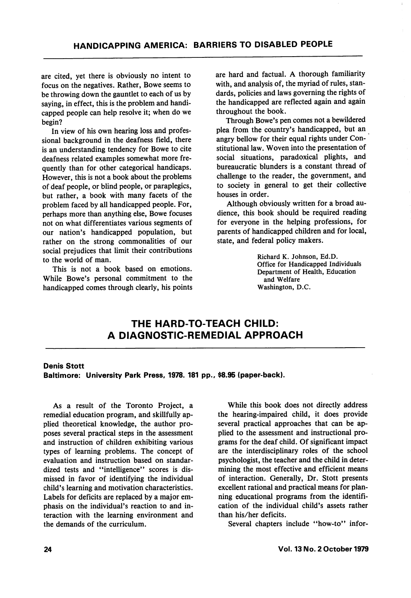are cited, yet there is obviously no intent to focus on the negatives. Rather, Bowe seems to be throwing down the gauntlet to each of us by saying, in effect, this is the problem and handi capped people can help resolve it; when do we begin?

In view of his own hearing loss and profes sional background in the deafness field, there is an understanding tendency for Bowe to cite deafness related examples somewhat more fre quently than for other categorical handicaps. However, this is not a book about the problems of deaf people, or blind people, or paraplegics, but rather, a book with many facets of the problem faced by all handicapped people. For, perhaps more than anything else, Bowe focuses not on what differentiates various segments of our nation's handicapped population, but rather on the strong commonalities of our social prejudices that limit their contributions to the world of man.

This is not a book based on emotions. While Bowe's personal commitment to the handicapped comes through clearly, his points

are hard and factual. A thorough familiarity with, and analysis of, the myriad of rules, standards, policies and laws governing the rights of the handicapped are reflected again and again throughout the book.

Through Bowe's pen comes not a bewildered plea from the country's handicapped, but an angry bellow for their equal rights under Con stitutional law. Woven into the presentation of social situations, paradoxical plights, and bureaucratic blunders is a constant thread of challenge to the reader, the government, and to society in general to get their collective houses in order.

Although obviously written for a broad au dience, this book should be required reading for everyone in the helping professions, for parents of handicapped children and for local, state, and federal policy makers.

> Richard K. Johnson, Ed.D. Office for Handicapped Individuals Department of Health, Education and Welfare Washington, D.C.

## THE HARD-TO-TEACH CHILD: A DIAGNOSTIC-REMEDIAL APPROACH

### Denis Stott

Baltimore: University Park Press, 1978. 181 pp., \$8.95 (paper-back).

As a result of the Toronto Project, a remedial education program, and skillfully ap plied theoretical knowledge, the author pro poses several practical steps in the assessment and instruction of children exhibiting various types of learning problems. The concept of evaluation and instruction based on standar dized tests and "intelligence" scores is dismissed in favor of identifying the individual child's learning and motivation characteristics. Labels for deficits are replaced by a major em phasis on the individual's reaction to and in teraction with the learning environment and the demands of the curriculum.

While this book does not directly address the hearing-impaired child, it does provide several practical approaches that can be ap plied to the assessment and instructional pro grams for the deaf child. Of significant impact are the interdisciplinary roles of the school psychologist, the teacher and the child in deter mining the most effective and efficient means of interaction. Generally, Dr. Stott presents excellent rational and practical means for plan ning educational programs from the identifi cation of the individual child's assets rather than his/her deficits.

Several chapters include "how-to" infor-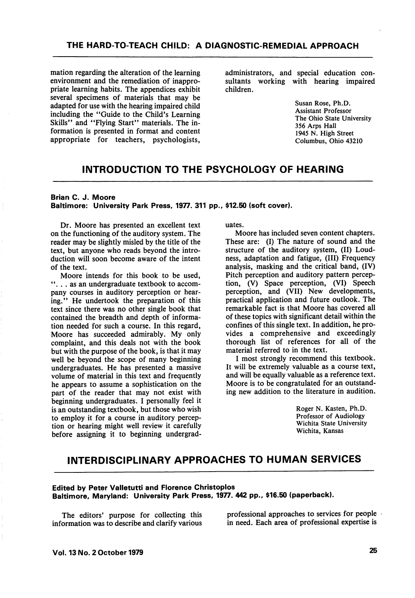mation regarding the alteration of the learning environment and the remediation of inappropriate learning habits. The appendices exhibit several specimens of materials that may be adapted for use with the hearing impaired child including the "Guide to the Child's Learning Skills" and "Flying Start" materials. The information is presented in format and content appropriate for teachers, psychologists,

administrators, and special education con sultants working with hearing impaired children.

> Susan Rose, Ph.D. Assistant Professor The Ohio State University 356 Arps Hall 1945 N. High Street Columbus, Ohio 43210

### INTRODUCTION TO THE PSYCHOLOGY OF HEARING

#### Brian C. J. Moore Baltimore: University Park Press, 1977. 311 pp., \$12.50 (soft cover).

Dr. Moore has presented an excellent text on the functioning of the auditory system. The reader may be slightly misled by the title of the text, but anyone who reads beyond the intro duction will soon become aware of the intent of the text.

Moore intends for this book to be used, "... as an undergraduate textbook to accompany courses in auditory perception or hear ing." He undertook the preparation of this text since there was no other single book that contained the breadth and depth of informa tion needed for such a course. In this regard, Moore has succeeded admirably. My only complaint, and this deals not with the book but with the purpose of the book, is that it may well be beyond the scope of many beginning undergraduates. He has presented a massive volume of material in this text and frequently he appears to assume a sophistication on the part of the reader that may not exist with beginning undergraduates. I personally feel it is an outstanding textbook, but those who wish to employ it for a course in auditory percep tion or hearing might well review it carefully before assigning it to beginning undergrad uates.

Moore has included seven content chapters. These are: (I) The nature of sound and the structure of the auditory system, (II) Loudness, adaptation and fatigue, (III) Frequency analysis, masking and the critical band, (IV) Pitch perception and auditory pattern percep tion, (V) Space perception, (VI) Speech perception, and (VII) New developments, practical application and future outlook. The remarkable fact is that Moore has covered all of these topics with significant detail within the confines of this single text. In addition, he pro vides a comprehensive and exceedingly thorough list of references for all of the material referred to in the text.

I most strongly recommend this textbook. It will be extremely valuable as a course text, and will be equally valuable as a reference text. Moore is to be congratulated for an outstand ing new addition to the literature in audition.

> Roger N. Kasten, Ph.D. Professor of Audiology Wichita State University Wichita, Kansas

## INTERDISCIPLINARY APPROACHES TO HUMAN SERVICES

#### Edited by Peter Valletutti and Florence Christoplos Baltimore, Maryland: University Park Press, 1977. 442 pp., \$16.50 (paperback).

The editors' purpose for collecting this information was to describe and clarify various professional approaches to services for people in need. Each area of professional expertise is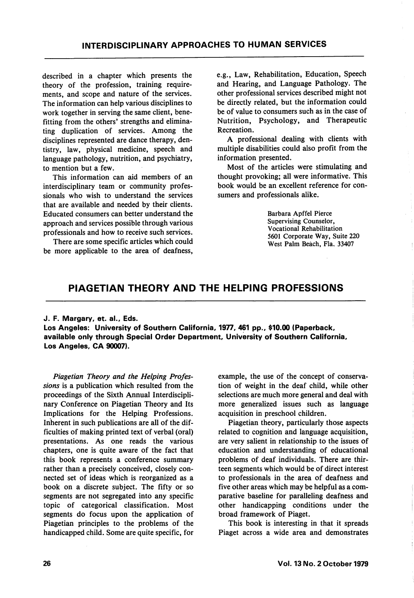described in a chapter which presents the theory of the profession, training requirements, and scope and nature of the services. The information can help various disciplines to work together in serving the same client, benefitting from the others' strengths and elimina ting duplication of services. Among the disciplines represented are dance therapy, dentistry, law, physical medicine, speech and language pathology, nutrition, and psychiatry, to mention but a few.

This information can aid members of an interdisciplinary team or community profes sionals who wish to understand the services that are available and needed by their clients. Educated consumers can better understand the approach and services possible through various professionals and how to receive such services.

There are some specific articles which could be more applicable to the area of deafness.

e.g.. Law, Rehabilitation, Education, Speech and Hearing, and Language Pathology. The other professional services described might not be directly related, but the information could be of value to consumers such as in the case of Nutrition, Psychology, and Therapeutic Recreation.

A professional dealing with clients with multiple disabilities could also profit from the information presented.

Most of the articles were stimulating and thought provoking; all were informative. This book would be an excellent reference for con sumers and professionals alike.

> Barbara Apffel Pierce Supervising Counselor, Vocational Rehabilitation 5601 Corporate Way, Suite 220 West Palm Beach, Fla. 33407

### PIAGETIAN THEORY AND THE HELPING PROFESSIONS

#### J. F. Margary, et. al., Eds.

Los Angeles: University of Southern California, 1977, 461 pp., \$10.00 (Paperback, available only through Special Order Department, University of Southern California, Los Angeles, CA 90007).

Piagetian Theory and the Helping Profes sions is a publication which resulted from the proceedings of the Sixth Annual Interdiscipli nary Conference on Piagetian Theory and Its Implications for the Helping Professions. Inherent in such publications are all of the dif ficulties of making printed text of verbal (oral) presentations. As one reads the various chapters, one is quite aware of the fact that this book represents a conference summary rather than a precisely conceived, closely con nected set of ideas which is reorganized as a book on a discrete subject. The fifty or so segments are not segregated into any specific topic of categorical classification. Most segments do focus upon the application of Piagetian principles to the problems of the handicapped child. Some are quite specific, for example, the use of the concept of conserva tion of weight in the deaf child, while other selections are much more general and deal with more generalized issues such as language acquisition in preschool children.

Piagetian theory, particularly those aspects related to cognition and language acquisition, are very salient in relationship to the issues of education and understanding of educational problems of deaf individuals. There are thir teen segments which would be of direct interest to professionals in the area of deafness and five other areas which may be helpful as a com parative baseline for paralleling deafness and other handicapping conditions under the broad framework of Piaget.

This book is interesting in that it spreads Piaget across a wide area and demonstrates